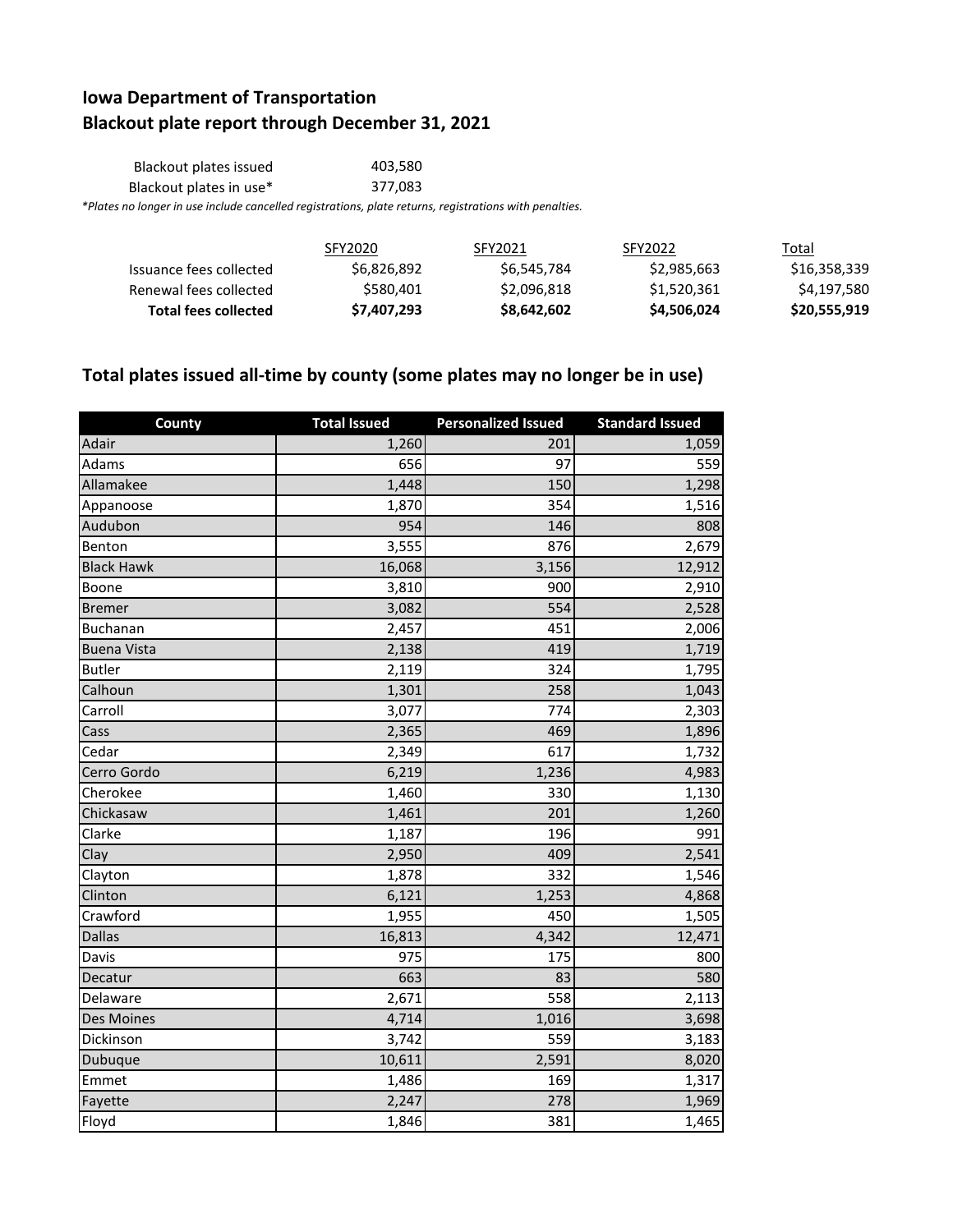## **Iowa Department of Transportation Blackout plate report through December 31, 2021**

| Blackout plates issued  | 403.580                                                                                                |
|-------------------------|--------------------------------------------------------------------------------------------------------|
| Blackout plates in use* | 377.083                                                                                                |
|                         | *Plates no longer in use include cancelled registrations, plate returns, registrations with penalties. |

|                         | SFY2020     | SFY2021     | SFY2022     | Total        |
|-------------------------|-------------|-------------|-------------|--------------|
| Issuance fees collected | \$6,826,892 | \$6,545,784 | \$2,985,663 | \$16,358,339 |
| Renewal fees collected  | \$580.401   | \$2,096,818 | \$1,520,361 | \$4,197,580  |
| Total fees collected    | \$7,407,293 | \$8,642,602 | \$4,506,024 | \$20,555,919 |

## **Total plates issued all-time by county (some plates may no longer be in use)**

| County             | <b>Total Issued</b> | <b>Personalized Issued</b> | <b>Standard Issued</b> |
|--------------------|---------------------|----------------------------|------------------------|
| Adair              | 1,260               | 201                        | 1,059                  |
| Adams              | 656                 | 97                         | 559                    |
| Allamakee          | 1,448               | 150                        | 1,298                  |
| Appanoose          | 1,870               | 354                        | 1,516                  |
| Audubon            | 954                 | 146                        | 808                    |
| Benton             | 3,555               | 876                        | 2,679                  |
| <b>Black Hawk</b>  | 16,068              | 3,156                      | 12,912                 |
| Boone              | 3,810               | 900                        | 2,910                  |
| <b>Bremer</b>      | 3,082               | 554                        | 2,528                  |
| Buchanan           | 2,457               | 451                        | 2,006                  |
| <b>Buena Vista</b> | 2,138               | 419                        | 1,719                  |
| <b>Butler</b>      | 2,119               | 324                        | 1,795                  |
| Calhoun            | 1,301               | 258                        | 1,043                  |
| Carroll            | 3,077               | 774                        | 2,303                  |
| Cass               | 2,365               | 469                        | 1,896                  |
| Cedar              | 2,349               | 617                        | 1,732                  |
| Cerro Gordo        | 6,219               | 1,236                      | 4,983                  |
| Cherokee           | 1,460               | 330                        | 1,130                  |
| Chickasaw          | 1,461               | 201                        | 1,260                  |
| Clarke             | 1,187               | 196                        | 991                    |
| Clay               | 2,950               | 409                        | 2,541                  |
| Clayton            | 1,878               | 332                        | 1,546                  |
| Clinton            | 6,121               | 1,253                      | 4,868                  |
| Crawford           | 1,955               | 450                        | 1,505                  |
| <b>Dallas</b>      | 16,813              | 4,342                      | 12,471                 |
| Davis              | 975                 | 175                        | 800                    |
| Decatur            | 663                 | 83                         | 580                    |
| Delaware           | 2,671               | 558                        | 2,113                  |
| Des Moines         | 4,714               | 1,016                      | 3,698                  |
| Dickinson          | 3,742               | 559                        | 3,183                  |
| Dubuque            | 10,611              | 2,591                      | 8,020                  |
| Emmet              | 1,486               | 169                        | 1,317                  |
| Fayette            | 2,247               | 278                        | 1,969                  |
| Floyd              | 1,846               | 381                        | 1,465                  |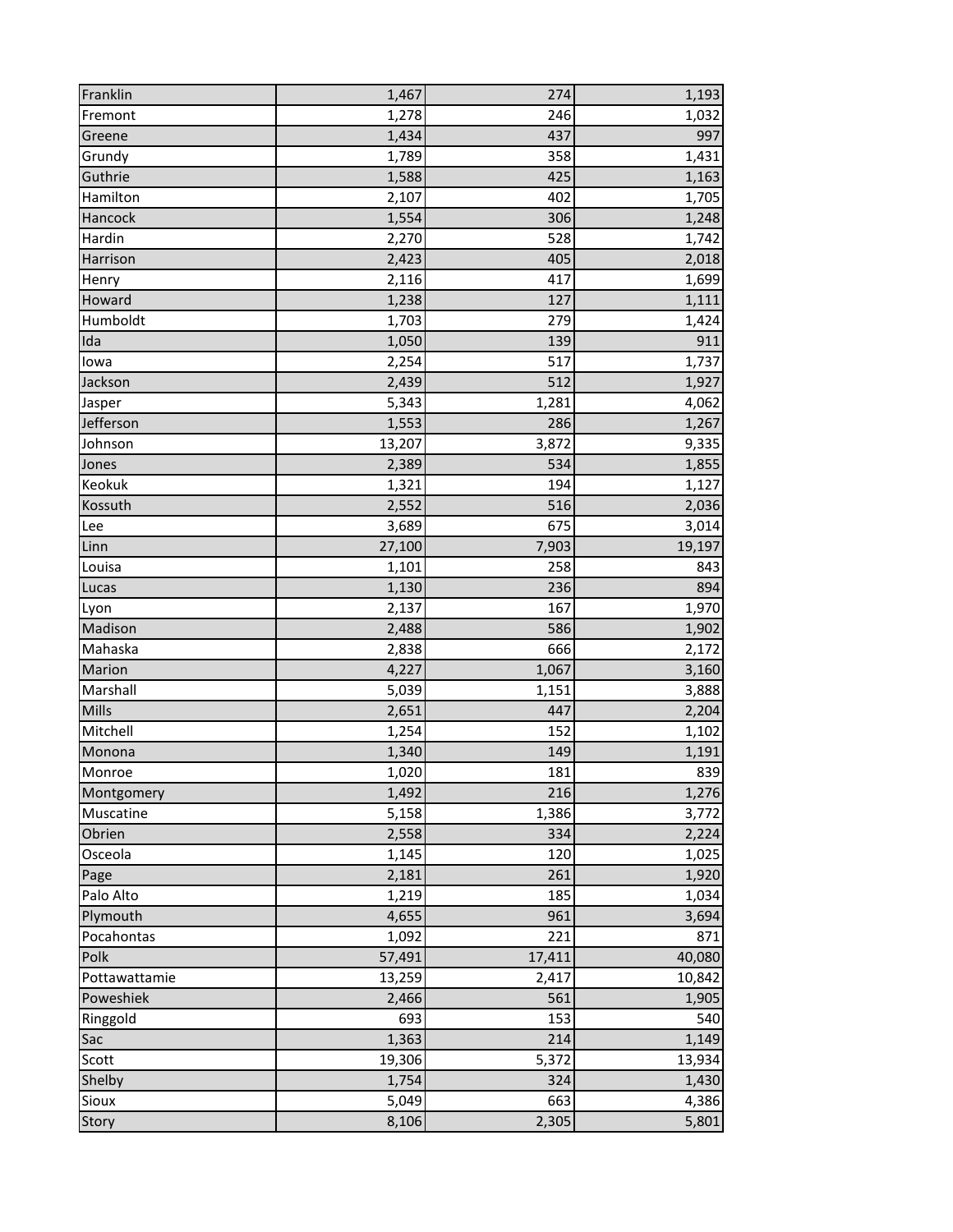| Franklin      | 1,467  | 274    | 1,193  |
|---------------|--------|--------|--------|
| Fremont       | 1,278  | 246    | 1,032  |
| Greene        | 1,434  | 437    | 997    |
| Grundy        | 1,789  | 358    | 1,431  |
| Guthrie       | 1,588  | 425    | 1,163  |
| Hamilton      | 2,107  | 402    | 1,705  |
| Hancock       | 1,554  | 306    | 1,248  |
| Hardin        | 2,270  | 528    | 1,742  |
| Harrison      | 2,423  | 405    | 2,018  |
| Henry         | 2,116  | 417    | 1,699  |
| Howard        | 1,238  | 127    | 1,111  |
| Humboldt      | 1,703  | 279    | 1,424  |
| Ida           | 1,050  | 139    | 911    |
| lowa          | 2,254  | 517    | 1,737  |
| Jackson       | 2,439  | 512    | 1,927  |
| Jasper        | 5,343  | 1,281  | 4,062  |
| Jefferson     | 1,553  | 286    | 1,267  |
| Johnson       | 13,207 | 3,872  | 9,335  |
| Jones         | 2,389  | 534    | 1,855  |
| Keokuk        | 1,321  | 194    | 1,127  |
| Kossuth       | 2,552  | 516    | 2,036  |
| Lee           | 3,689  | 675    | 3,014  |
| Linn          | 27,100 | 7,903  | 19,197 |
| Louisa        | 1,101  | 258    | 843    |
| Lucas         | 1,130  | 236    | 894    |
| Lyon          | 2,137  | 167    | 1,970  |
| Madison       | 2,488  | 586    | 1,902  |
| Mahaska       | 2,838  | 666    | 2,172  |
| Marion        | 4,227  | 1,067  | 3,160  |
| Marshall      | 5,039  | 1,151  | 3,888  |
| Mills         | 2,651  | 447    | 2,204  |
| Mitchell      | 1,254  | 152    | 1,102  |
| Monona        | 1,340  | 149    | 1,191  |
| Monroe        | 1,020  | 181    | 839    |
| Montgomery    | 1,492  | 216    | 1,276  |
| Muscatine     | 5,158  | 1,386  | 3,772  |
| Obrien        | 2,558  | 334    | 2,224  |
| Osceola       | 1,145  | 120    | 1,025  |
| Page          | 2,181  | 261    | 1,920  |
| Palo Alto     | 1,219  | 185    | 1,034  |
| Plymouth      | 4,655  | 961    | 3,694  |
| Pocahontas    | 1,092  | 221    | 871    |
| Polk          | 57,491 | 17,411 | 40,080 |
| Pottawattamie | 13,259 | 2,417  | 10,842 |
| Poweshiek     | 2,466  | 561    | 1,905  |
| Ringgold      | 693    | 153    | 540    |
| Sac           | 1,363  | 214    | 1,149  |
| Scott         | 19,306 | 5,372  | 13,934 |
| Shelby        | 1,754  | 324    | 1,430  |
| Sioux         | 5,049  | 663    | 4,386  |
| Story         | 8,106  | 2,305  | 5,801  |